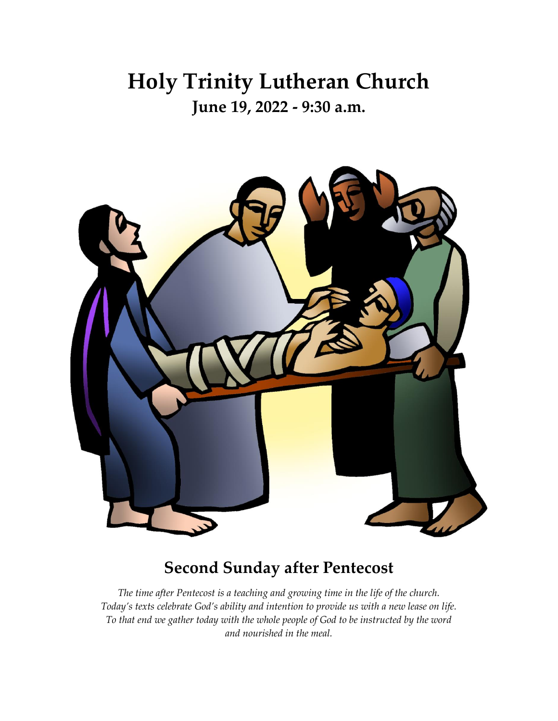## **Holy Trinity Lutheran Church June 19, 2022 - 9:30 a.m.**



## **Second Sunday after Pentecost**

*The time after Pentecost is a teaching and growing time in the life of the church. Today's texts celebrate God's ability and intention to provide us with a new lease on life. To that end we gather today with the whole people of God to be instructed by the word and nourished in the meal.*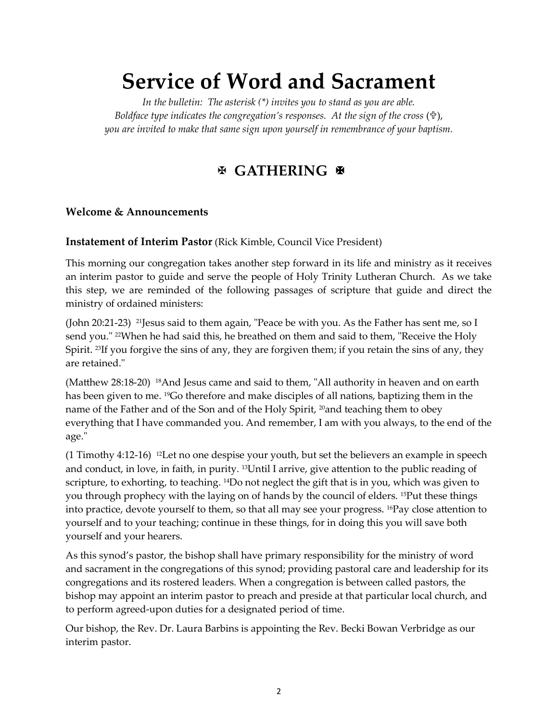## **Service of Word and Sacrament**

*In the bulletin: The asterisk (\*) invites you to stand as you are able. Boldface type indicates the congregation's responses. At the sign of the cross (\fftthtaginesty), you are invited to make that same sign upon yourself in remembrance of your baptism.*

## **GATHERING**

### **Welcome & Announcements**

#### **Instatement of Interim Pastor** (Rick Kimble, Council Vice President)

This morning our congregation takes another step forward in its life and ministry as it receives an interim pastor to guide and serve the people of Holy Trinity Lutheran Church. As we take this step, we are reminded of the following passages of scripture that guide and direct the ministry of ordained ministers:

(John 20:21-23) <sup>21</sup>Jesus said to them again, "Peace be with you. As the Father has sent me, so I send you." <sup>22</sup>When he had said this, he breathed on them and said to them, "Receive the Holy Spirit. <sup>23</sup>If you forgive the sins of any, they are forgiven them; if you retain the sins of any, they are retained."

(Matthew 28:18-20) <sup>18</sup>And Jesus came and said to them, "All authority in heaven and on earth has been given to me. <sup>19</sup>Go therefore and make disciples of all nations, baptizing them in the name of the Father and of the Son and of the Holy Spirit, <sup>20</sup>and teaching them to obey everything that I have commanded you. And remember, I am with you always, to the end of the age."

(1 Timothy 4:12-16) <sup>12</sup>Let no one despise your youth, but set the believers an example in speech and conduct, in love, in faith, in purity. <sup>13</sup>Until I arrive, give attention to the public reading of scripture, to exhorting, to teaching. <sup>14</sup>Do not neglect the gift that is in you, which was given to you through prophecy with the laying on of hands by the council of elders. <sup>15</sup>Put these things into practice, devote yourself to them, so that all may see your progress. <sup>16</sup>Pay close attention to yourself and to your teaching; continue in these things, for in doing this you will save both yourself and your hearers.

As this synod's pastor, the bishop shall have primary responsibility for the ministry of word and sacrament in the congregations of this synod; providing pastoral care and leadership for its congregations and its rostered leaders. When a congregation is between called pastors, the bishop may appoint an interim pastor to preach and preside at that particular local church, and to perform agreed-upon duties for a designated period of time.

Our bishop, the Rev. Dr. Laura Barbins is appointing the Rev. Becki Bowan Verbridge as our interim pastor.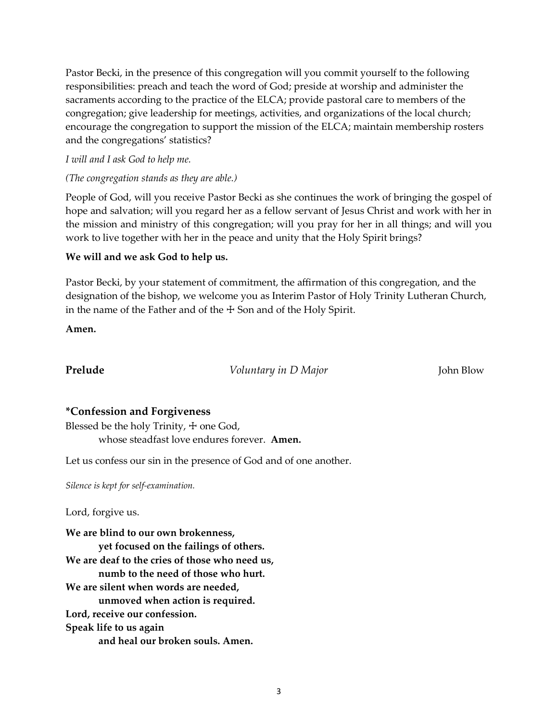Pastor Becki, in the presence of this congregation will you commit yourself to the following responsibilities: preach and teach the word of God; preside at worship and administer the sacraments according to the practice of the ELCA; provide pastoral care to members of the congregation; give leadership for meetings, activities, and organizations of the local church; encourage the congregation to support the mission of the ELCA; maintain membership rosters and the congregations' statistics?

#### *I will and I ask God to help me.*

#### *(The congregation stands as they are able.)*

People of God, will you receive Pastor Becki as she continues the work of bringing the gospel of hope and salvation; will you regard her as a fellow servant of Jesus Christ and work with her in the mission and ministry of this congregation; will you pray for her in all things; and will you work to live together with her in the peace and unity that the Holy Spirit brings?

### **We will and we ask God to help us.**

Pastor Becki, by your statement of commitment, the affirmation of this congregation, and the designation of the bishop, we welcome you as Interim Pastor of Holy Trinity Lutheran Church, in the name of the Father and of the  $+$  Son and of the Holy Spirit.

**Amen.**

**Prelude** *Voluntary in D Major* John Blow

### **\*Confession and Forgiveness**

Blessed be the holy Trinity,  $+$  one God, whose steadfast love endures forever. **Amen.**

Let us confess our sin in the presence of God and of one another.

*Silence is kept for self-examination.*

Lord, forgive us.

**We are blind to our own brokenness, yet focused on the failings of others. We are deaf to the cries of those who need us, numb to the need of those who hurt. We are silent when words are needed, unmoved when action is required. Lord, receive our confession. Speak life to us again and heal our broken souls. Amen.**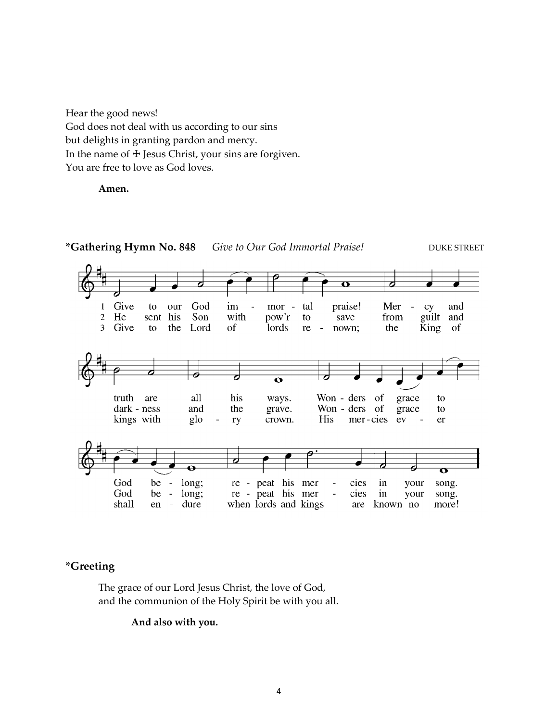Hear the good news! God does not deal with us according to our sins but delights in granting pardon and mercy. In the name of  $\pm$  Jesus Christ, your sins are forgiven. You are free to love as God loves.

**Amen.**



### **\*Greeting**

The grace of our Lord Jesus Christ, the love of God, and the communion of the Holy Spirit be with you all.

**And also with you.**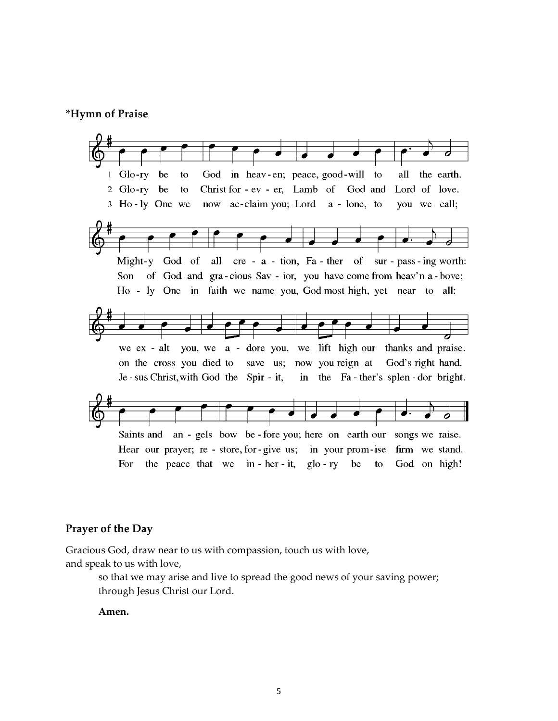#### **\*Hymn of Praise**



#### **Prayer of the Day**

Gracious God, draw near to us with compassion, touch us with love, and speak to us with love,

> so that we may arise and live to spread the good news of your saving power; through Jesus Christ our Lord.

**Amen.**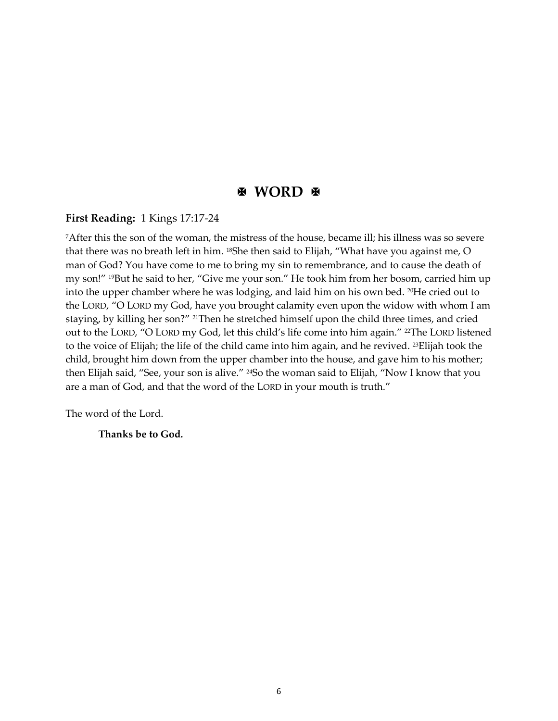### **E** WORD **E**

#### **First Reading:** 1 Kings 17:17-24

<sup>7</sup>After this the son of the woman, the mistress of the house, became ill; his illness was so severe that there was no breath left in him. <sup>18</sup>She then said to Elijah, "What have you against me, O man of God? You have come to me to bring my sin to remembrance, and to cause the death of my son!" <sup>19</sup>But he said to her, "Give me your son." He took him from her bosom, carried him up into the upper chamber where he was lodging, and laid him on his own bed. <sup>20</sup>He cried out to the LORD, "O LORD my God, have you brought calamity even upon the widow with whom I am staying, by killing her son?" <sup>21</sup>Then he stretched himself upon the child three times, and cried out to the LORD, "O LORD my God, let this child's life come into him again." <sup>22</sup>The LORD listened to the voice of Elijah; the life of the child came into him again, and he revived. <sup>23</sup>Elijah took the child, brought him down from the upper chamber into the house, and gave him to his mother; then Elijah said, "See, your son is alive." <sup>24</sup>So the woman said to Elijah, "Now I know that you are a man of God, and that the word of the LORD in your mouth is truth."

The word of the Lord.

#### **Thanks be to God.**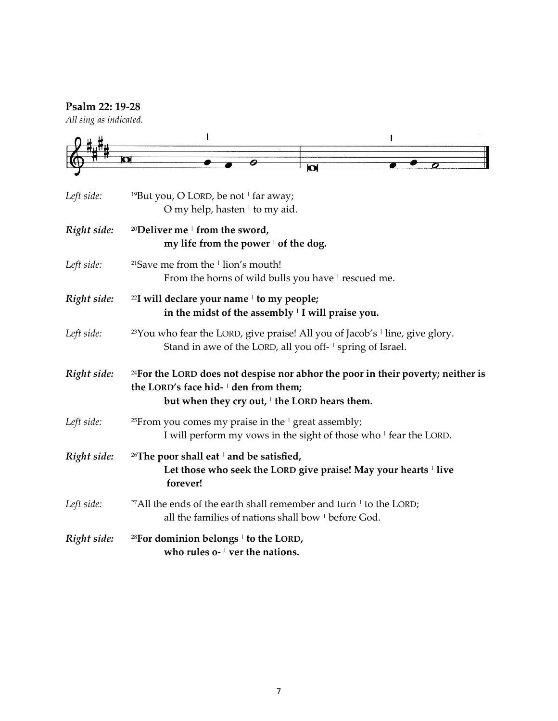### **Psalm 22: 19-28**

*All sing as indicated.*



| Left side:  | <sup>19</sup> But you, O LORD, be not $\frac{1}{1}$ far away;<br>O my help, hasten <sup>1</sup> to my aid.                                                                          |  |  |
|-------------|-------------------------------------------------------------------------------------------------------------------------------------------------------------------------------------|--|--|
| Right side: | <sup>20</sup> Deliver me $\pm$ from the sword,<br>my life from the power $\cdot$ of the dog.                                                                                        |  |  |
| Left side:  | <sup>21</sup> Save me from the <sup>1</sup> lion's mouth!<br>From the horns of wild bulls you have 'rescued me.                                                                     |  |  |
| Right side: | <sup>22</sup> I will declare your name <sup>1</sup> to my people;<br>in the midst of the assembly   I will praise you.                                                              |  |  |
| Left side:  | <sup>23</sup> You who fear the LORD, give praise! All you of Jacob's <sup>1</sup> line, give glory.<br>Stand in awe of the LORD, all you off- ' spring of Israel.                   |  |  |
| Right side: | <sup>24</sup> For the LORD does not despise nor abhor the poor in their poverty; neither is<br>the LORD's face hid- den from them;<br>but when they cry out, I the LORD hears them. |  |  |
| Left side:  | <sup>25</sup> From you comes my praise in the $\frac{1}{2}$ great assembly;<br>I will perform my vows in the sight of those who ' fear the LORD.                                    |  |  |
| Right side: | <sup>26</sup> The poor shall eat $\perp$ and be satisfied,<br>Let those who seek the LORD give praise! May your hearts I live<br>forever!                                           |  |  |
| Left side:  | <sup>27</sup> All the ends of the earth shall remember and turn $\pm$ to the LORD;<br>all the families of nations shall bow <sup>1</sup> before God.                                |  |  |
| Right side: | <sup>28</sup> For dominion belongs $\pm$ to the LORD,<br>who rules $o$ - $\vee$ ver the nations.                                                                                    |  |  |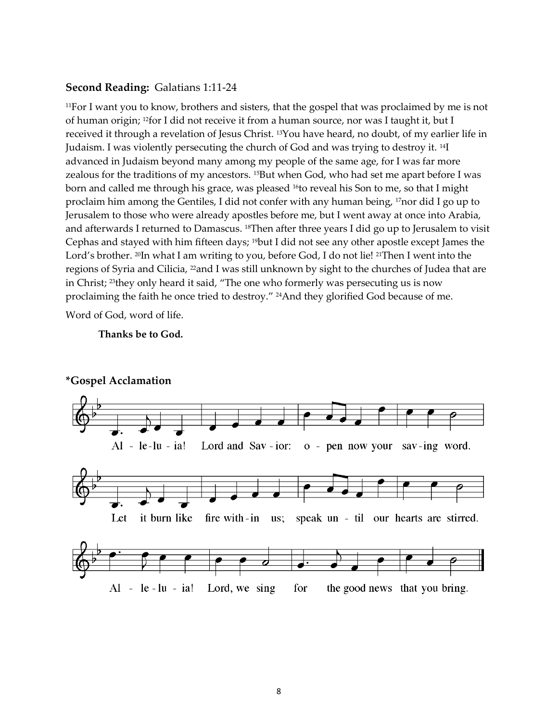#### **Second Reading:** Galatians 1:11-24

<sup>11</sup>For I want you to know, brothers and sisters, that the gospel that was proclaimed by me is not of human origin; <sup>12</sup>for I did not receive it from a human source, nor was I taught it, but I received it through a revelation of Jesus Christ. <sup>13</sup>You have heard, no doubt, of my earlier life in Judaism. I was violently persecuting the church of God and was trying to destroy it. <sup>14</sup>I advanced in Judaism beyond many among my people of the same age, for I was far more zealous for the traditions of my ancestors. <sup>15</sup>But when God, who had set me apart before I was born and called me through his grace, was pleased <sup>16</sup>to reveal his Son to me, so that I might proclaim him among the Gentiles, I did not confer with any human being, <sup>17</sup>nor did I go up to Jerusalem to those who were already apostles before me, but I went away at once into Arabia, and afterwards I returned to Damascus. <sup>18</sup>Then after three years I did go up to Jerusalem to visit Cephas and stayed with him fifteen days; <sup>19</sup>but I did not see any other apostle except James the Lord's brother. <sup>20</sup>In what I am writing to you, before God, I do not lie! <sup>21</sup>Then I went into the regions of Syria and Cilicia, <sup>22</sup>and I was still unknown by sight to the churches of Judea that are in Christ; <sup>23</sup>they only heard it said, "The one who formerly was persecuting us is now proclaiming the faith he once tried to destroy." <sup>24</sup>And they glorified God because of me.

Word of God, word of life.

#### **Thanks be to God.**



### **\*Gospel Acclamation**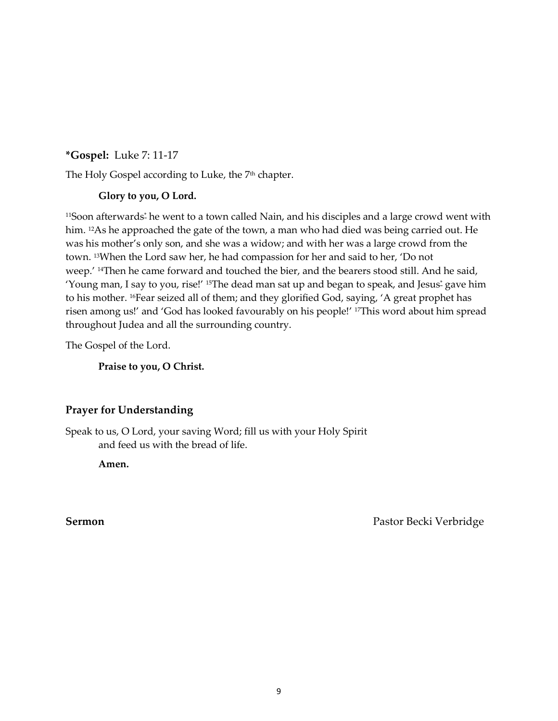**\*Gospel:** Luke 7: 11-17

The Holy Gospel according to Luke, the 7<sup>th</sup> chapter.

### **Glory to you, O Lord.**

<[s](javascript:void(0);)up>11</sup>Soon afterwards<sup>\*</sup> he went to a town called Nain, and his disciples and a large crowd went with him. <sup>12</sup>As he approached the gate of the town, a man who had died was being carried out. He was his mother's only son, and she was a widow; and with her was a large crowd from the town. <sup>13</sup>When the Lord saw her, he had compassion for her and said to her, 'Do not weep.' <sup>14</sup>Then he came forward and touched the bier, and the bearers stood still. And he said, 'Young man, I say to you, rise!' <sup>15</sup>The dead man sat up and began to speak, and Jesu[s](javascript:void(0);)\* gave him to his mother. <sup>16</sup>Fear seized all of them; and they glorified God, saying, 'A great prophet has risen among us!' and 'God has looked favourably on his people!' <sup>17</sup>This word about him spread throughout Judea and all the surrounding country.

The Gospel of the Lord.

**Praise to you, O Christ.**

### **Prayer for Understanding**

Speak to us, O Lord, your saving Word; fill us with your Holy Spirit and feed us with the bread of life.

**Amen.**

**Sermon** Pastor Becki Verbridge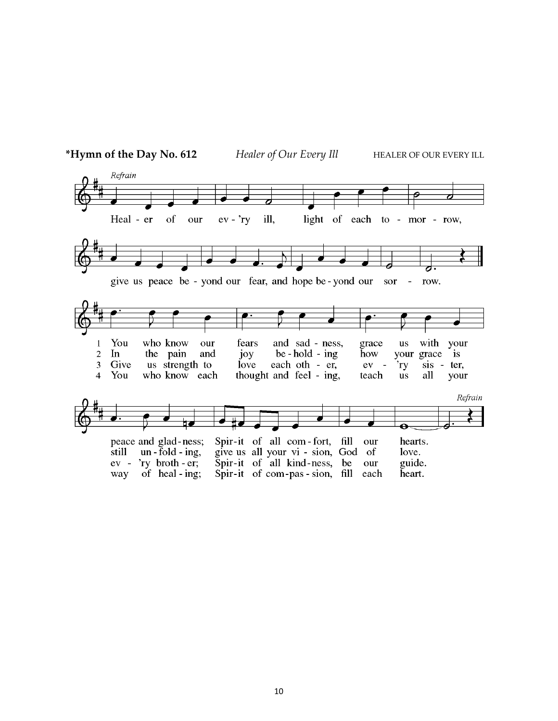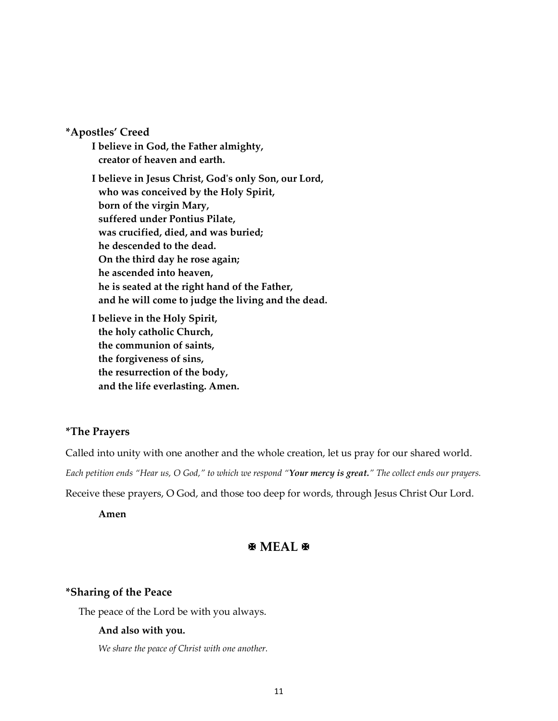**\*Apostles' Creed**

**I believe in God, the Father almighty, creator of heaven and earth. I believe in Jesus Christ, God's only Son, our Lord, who was conceived by the Holy Spirit, born of the virgin Mary, suffered under Pontius Pilate, was crucified, died, and was buried; he descended to the dead. On the third day he rose again; he ascended into heaven, he is seated at the right hand of the Father, and he will come to judge the living and the dead.**

**I believe in the Holy Spirit, the holy catholic Church, the communion of saints, the forgiveness of sins, the resurrection of the body, and the life everlasting. Amen.**

#### **\*The Prayers**

Called into unity with one another and the whole creation, let us pray for our shared world.

*Each petition ends "Hear us, O God," to which we respond "Your mercy is great." The collect ends our prayers.*

Receive these prayers, O God, and those too deep for words, through Jesus Christ Our Lord.

**Amen**

### **图 MEAL 图**

#### **\*Sharing of the Peace**

The peace of the Lord be with you always.

#### **And also with you.**

*We share the peace of Christ with one another.*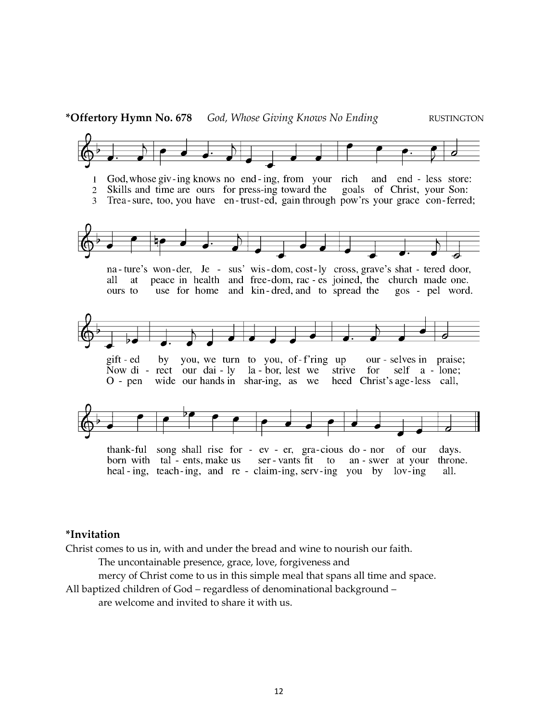

thank-ful song shall rise for - ev - er, gra-cious do - nor of our days. born with tal - ents, make us ser - vants fit an - swer at your to throne. heal-ing, teach-ing, and re-claim-ing, serv-ing you by lov-ing all.

#### **\*Invitation**

Christ comes to us in, with and under the bread and wine to nourish our faith.

The uncontainable presence, grace, love, forgiveness and

mercy of Christ come to us in this simple meal that spans all time and space.

All baptized children of God – regardless of denominational background – are welcome and invited to share it with us.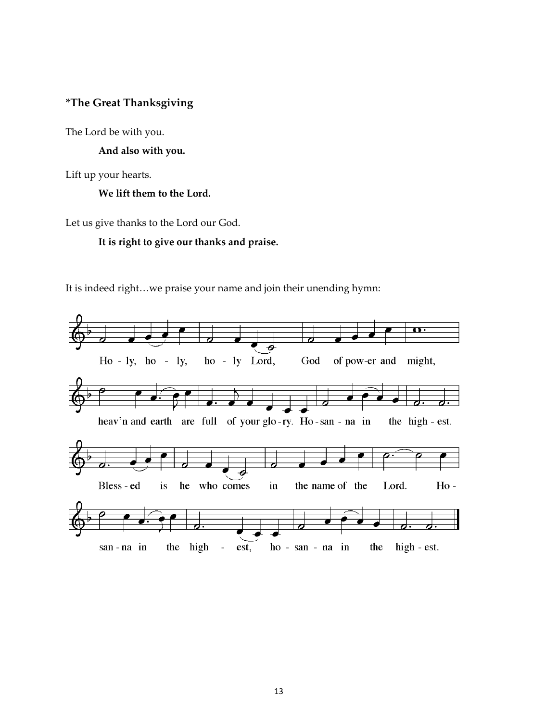### **\*The Great Thanksgiving**

The Lord be with you.

**And also with you.**

Lift up your hearts.

#### **We lift them to the Lord.**

Let us give thanks to the Lord our God.

### **It is right to give our thanks and praise.**

It is indeed right…we praise your name and join their unending hymn:

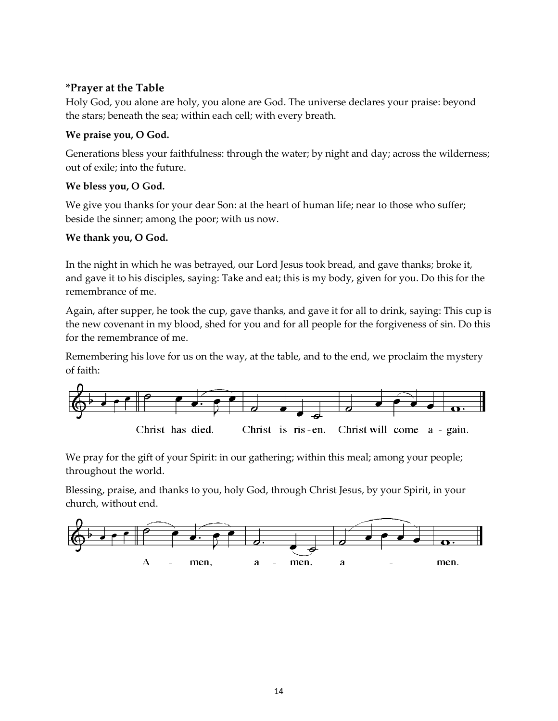### **\*Prayer at the Table**

Holy God, you alone are holy, you alone are God. The universe declares your praise: beyond the stars; beneath the sea; within each cell; with every breath.

### **We praise you, O God.**

Generations bless your faithfulness: through the water; by night and day; across the wilderness; out of exile; into the future.

### **We bless you, O God.**

We give you thanks for your dear Son: at the heart of human life; near to those who suffer; beside the sinner; among the poor; with us now.

### **We thank you, O God.**

In the night in which he was betrayed, our Lord Jesus took bread, and gave thanks; broke it, and gave it to his disciples, saying: Take and eat; this is my body, given for you. Do this for the remembrance of me.

Again, after supper, he took the cup, gave thanks, and gave it for all to drink, saying: This cup is the new covenant in my blood, shed for you and for all people for the forgiveness of sin. Do this for the remembrance of me.

Remembering his love for us on the way, at the table, and to the end, we proclaim the mystery of faith:



We pray for the gift of your Spirit: in our gathering; within this meal; among your people; throughout the world.

Blessing, praise, and thanks to you, holy God, through Christ Jesus, by your Spirit, in your church, without end.

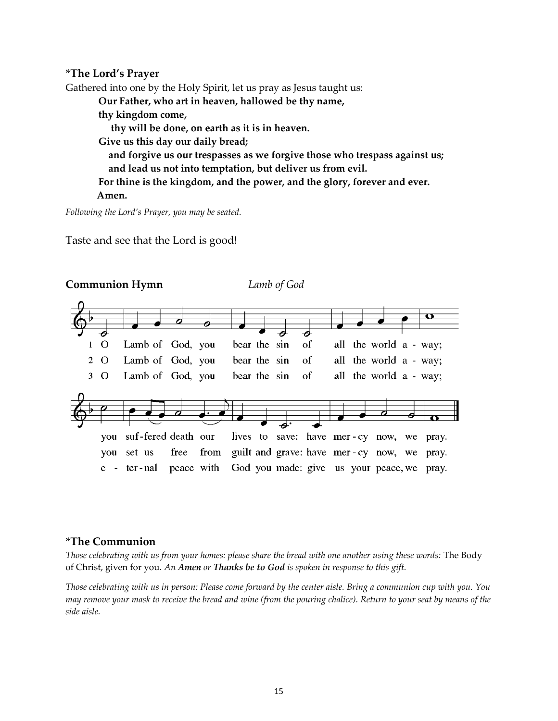#### **\*The Lord's Prayer**

Gathered into one by the Holy Spirit, let us pray as Jesus taught us:

**Our Father, who art in heaven, hallowed be thy name,** 

**thy kingdom come,** 

 **thy will be done, on earth as it is in heaven.** 

**Give us this day our daily bread;** 

 **and forgive us our trespasses as we forgive those who trespass against us; and lead us not into temptation, but deliver us from evil.** 

**For thine is the kingdom, and the power, and the glory, forever and ever. Amen.**

*Following the Lord's Prayer, you may be seated.*

Taste and see that the Lord is good!



#### **\*The Communion**

*Those celebrating with us from your homes: please share the bread with one another using these words:* The Body of Christ, given for you. *An Amen or Thanks be to God is spoken in response to this gift.*

*Those celebrating with us in person: Please come forward by the center aisle. Bring a communion cup with you. You may remove your mask to receive the bread and wine (from the pouring chalice). Return to your seat by means of the side aisle.*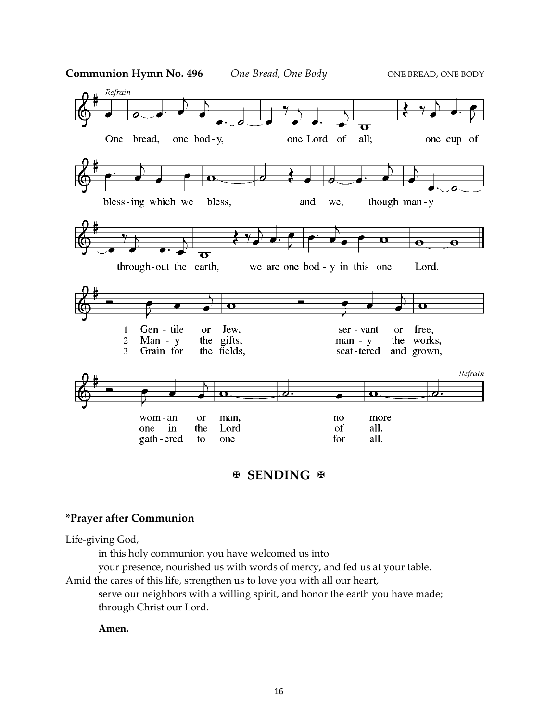

### **EXENDING** &

#### **\*Prayer after Communion**

Life-giving God,

in this holy communion you have welcomed us into

your presence, nourished us with words of mercy, and fed us at your table.

Amid the cares of this life, strengthen us to love you with all our heart,

serve our neighbors with a willing spirit, and honor the earth you have made; through Christ our Lord.

#### **Amen.**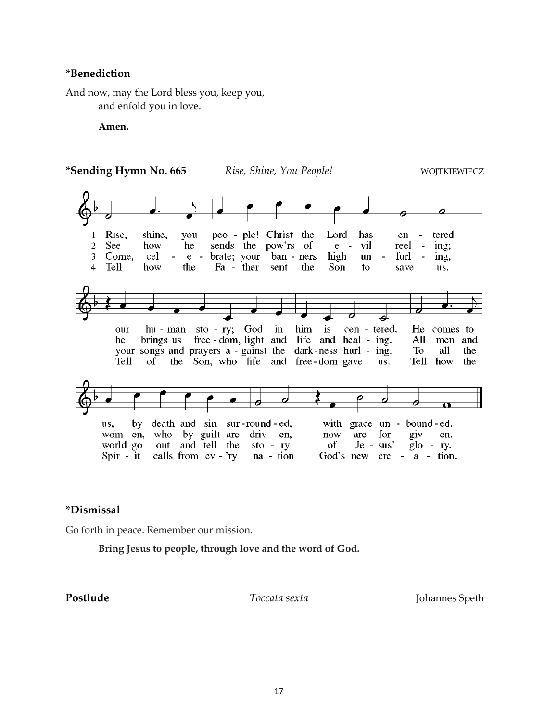#### **\*Benediction**

And now, may the Lord bless you, keep you, and enfold you in love.

**Amen.**



#### **\*Dismissal**

Go forth in peace. Remember our mission.

**Bring Jesus to people, through love and the word of God.**

**Postlude** *Toccata sexta* Johannes Speth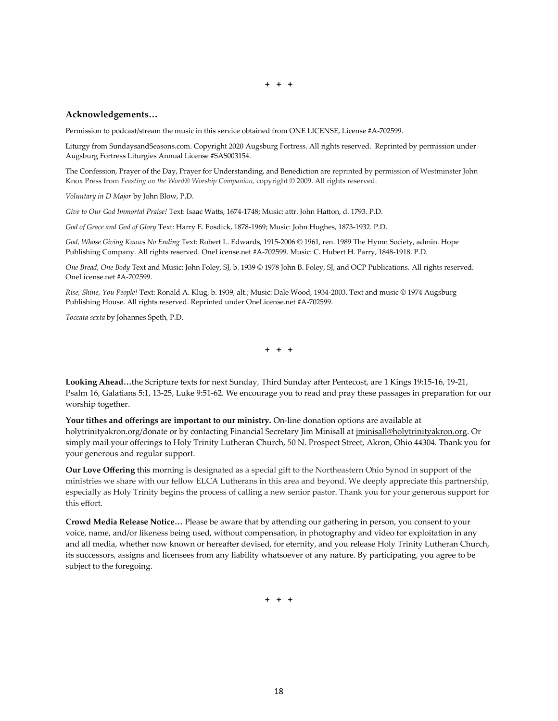**+ + +**

#### **Acknowledgements…**

Permission to podcast/stream the music in this service obtained from ONE LICENSE, License #A-702599.

Liturgy from SundaysandSeasons.com. Copyright 2020 Augsburg Fortress. All rights reserved. Reprinted by permission under Augsburg Fortress Liturgies Annual License #SAS003154.

The Confession, Prayer of the Day, Prayer for Understanding, and Benediction are reprinted by permission of Westminster John Knox Press from *Feasting on the Word*® *Worship Companion,* copyright © 2009. All rights reserved.

*Voluntary in D Major* by John Blow, P.D.

*Give to Our God Immortal Praise!* Text: Isaac Watts, 1674-1748; Music: attr. John Hatton, d. 1793. P.D.

*God of Grace and God of Glory* Text: Harry E. Fosdick, 1878-1969; Music: John Hughes, 1873-1932. P.D.

*God, Whose Giving Knows No Ending* Text: Robert L. Edwards, 1915-2006 © 1961, ren. 1989 The Hymn Society, admin. Hope Publishing Company. All rights reserved. OneLicense.net #A-702599. Music: C. Hubert H. Parry, 1848-1918. P.D.

*One Bread, One Body* Text and Music: John Foley, SJ, b. 1939 © 1978 John B. Foley, SJ, and OCP Publications. All rights reserved. OneLicense.net #A-702599.

*Rise, Shine, You People!* Text: Ronald A. Klug, b. 1939, alt.; Music: Dale Wood, 1934-2003. Text and music © 1974 Augsburg Publishing House. All rights reserved. Reprinted under OneLicense.net #A-702599.

*Toccata sexta* by Johannes Speth, P.D.

**+ + +**

**Looking Ahead…**the Scripture texts for next Sunday*,* Third Sunday after Pentecost, are 1 Kings 19:15-16, 19-21, Psalm 16, Galatians 5:1, 13-25, Luke 9:51-62. We encourage you to read and pray these passages in preparation for our worship together.

**Your tithes and offerings are important to our ministry.** On-line donation options are available at holytrinityakron.org/donate or by contacting Financial Secretary Jim Minisall a[t jminisall@holytrinityakron.org.](mailto:jminisall@holytrinityakron.org) Or simply mail your offerings to Holy Trinity Lutheran Church, 50 N. Prospect Street, Akron, Ohio 44304. Thank you for your generous and regular support.

**Our Love Offering** this morning is designated as a special gift to the Northeastern Ohio Synod in support of the ministries we share with our fellow ELCA Lutherans in this area and beyond. We deeply appreciate this partnership, especially as Holy Trinity begins the process of calling a new senior pastor. Thank you for your generous support for this effort.

**Crowd Media Release Notice…** Please be aware that by attending our gathering in person, you consent to your voice, name, and/or likeness being used, without compensation, in photography and video for exploitation in any and all media, whether now known or hereafter devised, for eternity, and you release Holy Trinity Lutheran Church, its successors, assigns and licensees from any liability whatsoever of any nature. By participating, you agree to be subject to the foregoing.

**+ + +**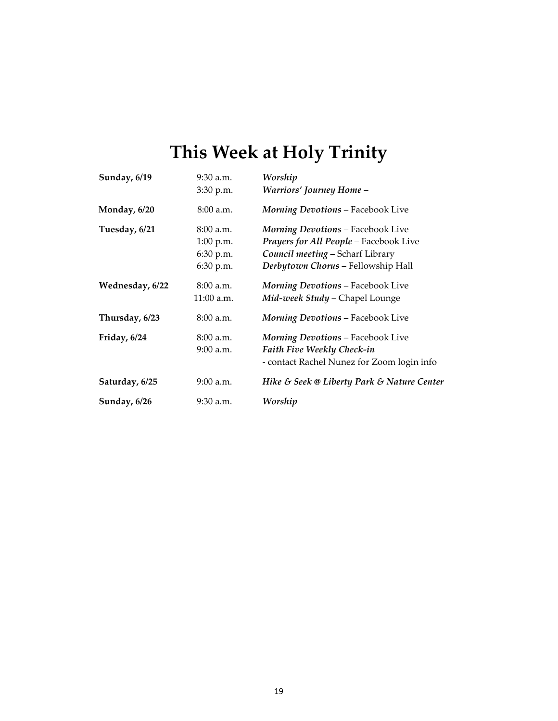# **This Week at Holy Trinity**

| Sunday, 6/19    | $9:30$ a.m. | Worship                                           |
|-----------------|-------------|---------------------------------------------------|
|                 | 3:30 p.m.   | <b>Warriors' Journey Home -</b>                   |
| Monday, 6/20    | $8:00$ a.m. | <b>Morning Devotions - Facebook Live</b>          |
| Tuesday, 6/21   | $8:00$ a.m. | <b>Morning Devotions - Facebook Live</b>          |
|                 | 1:00 p.m.   | Prayers for All People - Facebook Live            |
|                 | 6:30 p.m.   | Council meeting - Scharf Library                  |
|                 | 6:30 p.m.   | Derbytown Chorus - Fellowship Hall                |
| Wednesday, 6/22 | $8:00$ a.m. | <b>Morning Devotions - Facebook Live</b>          |
|                 | 11:00 a.m.  | Mid-week Study - Chapel Lounge                    |
| Thursday, 6/23  | $8:00$ a.m. | <b>Morning Devotions - Facebook Live</b>          |
| Friday, $6/24$  | $8:00$ a.m. | <b>Morning Devotions - Facebook Live</b>          |
|                 | $9:00$ a.m. | Faith Five Weekly Check-in                        |
|                 |             | - contact <b>Rachel Nunez</b> for Zoom login info |
| Saturday, 6/25  | $9:00$ a.m. | Hike & Seek @ Liberty Park & Nature Center        |
| Sunday, 6/26    | $9:30$ a.m. | Worship                                           |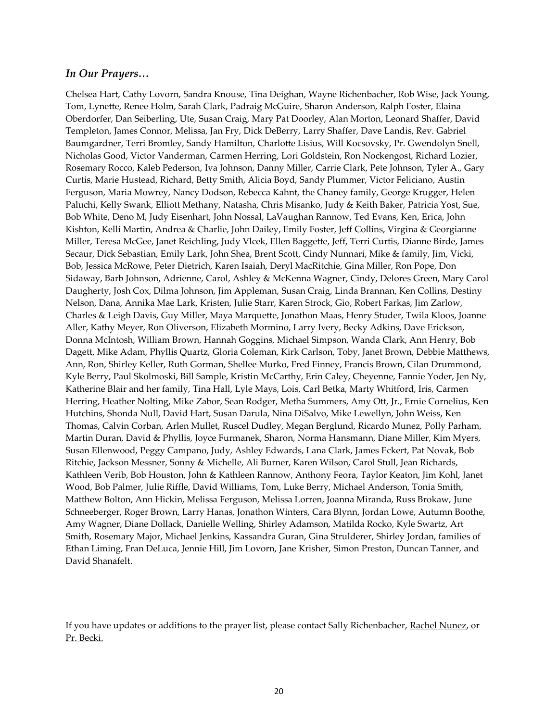#### *In Our Prayers…*

Chelsea Hart, Cathy Lovorn, Sandra Knouse, Tina Deighan, Wayne Richenbacher, Rob Wise, Jack Young, Tom, Lynette, Renee Holm, Sarah Clark, Padraig McGuire, Sharon Anderson, Ralph Foster, Elaina Oberdorfer, Dan Seiberling, Ute, Susan Craig, Mary Pat Doorley, Alan Morton, Leonard Shaffer, David Templeton, James Connor, Melissa, Jan Fry, Dick DeBerry, Larry Shaffer, Dave Landis, Rev. Gabriel Baumgardner, Terri Bromley, Sandy Hamilton, Charlotte Lisius, Will Kocsovsky, Pr. Gwendolyn Snell, Nicholas Good, Victor Vanderman, Carmen Herring, Lori Goldstein, Ron Nockengost, Richard Lozier, Rosemary Rocco, Kaleb Pederson, Iva Johnson, Danny Miller, Carrie Clark, Pete Johnson, Tyler A., Gary Curtis, Marie Hustead, Richard, Betty Smith, Alicia Boyd, Sandy Plummer, Victor Feliciano, Austin Ferguson, Maria Mowrey, Nancy Dodson, Rebecca Kahnt, the Chaney family, George Krugger, Helen Paluchi, Kelly Swank, Elliott Methany, Natasha, Chris Misanko, Judy & Keith Baker, Patricia Yost, Sue, Bob White, Deno M, Judy Eisenhart, John Nossal, LaVaughan Rannow, Ted Evans, Ken, Erica, John Kishton, Kelli Martin, Andrea & Charlie, John Dailey, Emily Foster, Jeff Collins, Virgina & Georgianne Miller, Teresa McGee, Janet Reichling, Judy Vlcek, Ellen Baggette, Jeff, Terri Curtis, Dianne Birde, James Secaur, Dick Sebastian, Emily Lark, John Shea, Brent Scott, Cindy Nunnari, Mike & family, Jim, Vicki, Bob, Jessica McRowe, Peter Dietrich, Karen Isaiah, Deryl MacRitchie, Gina Miller, Ron Pope, Don Sidaway, Barb Johnson, Adrienne, Carol, Ashley & McKenna Wagner, Cindy, Delores Green, Mary Carol Daugherty, Josh Cox, Dilma Johnson, Jim Appleman, Susan Craig, Linda Brannan, Ken Collins, Destiny Nelson, Dana, Annika Mae Lark, Kristen, Julie Starr, Karen Strock, Gio, Robert Farkas, Jim Zarlow, Charles & Leigh Davis, Guy Miller, Maya Marquette, Jonathon Maas, Henry Studer, Twila Kloos, Joanne Aller, Kathy Meyer, Ron Oliverson, Elizabeth Mormino, Larry Ivery, Becky Adkins, Dave Erickson, Donna McIntosh, William Brown, Hannah Goggins, Michael Simpson, Wanda Clark, Ann Henry, Bob Dagett, Mike Adam, Phyllis Quartz, Gloria Coleman, Kirk Carlson, Toby, Janet Brown, Debbie Matthews, Ann, Ron, Shirley Keller, Ruth Gorman, Shellee Murko, Fred Finney, Francis Brown, Cilan Drummond, Kyle Berry, Paul Skolmoski, Bill Sample, Kristin McCarthy, Erin Caley, Cheyenne, Fannie Yoder, Jen Ny, Katherine Blair and her family, Tina Hall, Lyle Mays, Lois, Carl Betka, Marty Whitford, Iris, Carmen Herring, Heather Nolting, Mike Zabor, Sean Rodger, Metha Summers, Amy Ott, Jr., Ernie Cornelius, Ken Hutchins, Shonda Null, David Hart, Susan Darula, Nina DiSalvo, Mike Lewellyn, John Weiss, Ken Thomas, Calvin Corban, Arlen Mullet, Ruscel Dudley, Megan Berglund, Ricardo Munez, Polly Parham, Martin Duran, David & Phyllis, Joyce Furmanek, Sharon, Norma Hansmann, Diane Miller, Kim Myers, Susan Ellenwood, Peggy Campano, Judy, Ashley Edwards, Lana Clark, James Eckert, Pat Novak, Bob Ritchie, Jackson Messner, Sonny & Michelle, Ali Burner, Karen Wilson, Carol Stull, Jean Richards, Kathleen Verib, Bob Houston, John & Kathleen Rannow, Anthony Feora, Taylor Keaton, Jim Kohl, Janet Wood, Bob Palmer, Julie Riffle, David Williams, Tom, Luke Berry, Michael Anderson, Tonia Smith, Matthew Bolton, Ann Hickin, Melissa Ferguson, Melissa Lorren, Joanna Miranda, Russ Brokaw, June Schneeberger, Roger Brown, Larry Hanas, Jonathon Winters, Cara Blynn, Jordan Lowe, Autumn Boothe, Amy Wagner, Diane Dollack, Danielle Welling, Shirley Adamson, Matilda Rocko, Kyle Swartz, Art Smith, Rosemary Major, Michael Jenkins, Kassandra Guran, Gina Strulderer, Shirley Jordan, families of Ethan Liming, Fran DeLuca, Jennie Hill, Jim Lovorn, Jane Krisher, Simon Preston, Duncan Tanner, and David Shanafelt.

If you have updates or additions to the prayer list, please contact Sally Richenbacher, [Rachel](mailto:rnunez@holytrinityakron.org) Nunez, or [Pr. Becki.](mailto:dnevergall@holytrinityakron.org)